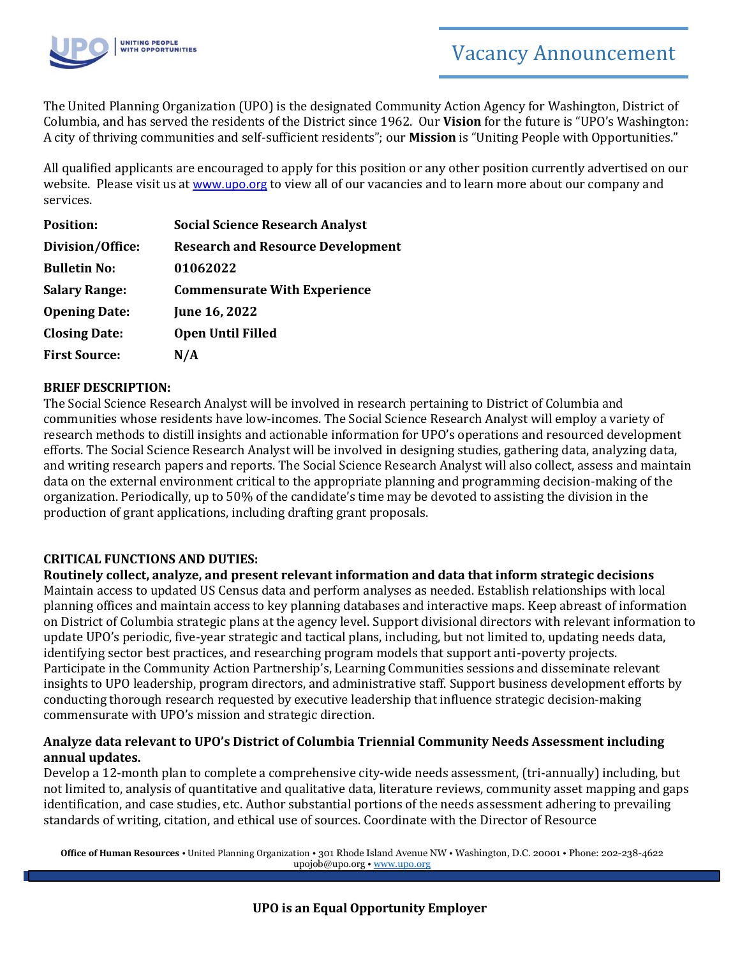

The United Planning Organization (UPO) is the designated Community Action Agency for Washington, District of Columbia, and has served the residents of the District since 1962. Our **Vision** for the future is "UPO's Washington: A city of thriving communities and self-sufficient residents"; our **Mission** is "Uniting People with Opportunities."

All qualified applicants are encouraged to apply for this position or any other position currently advertised on our website. Please visit us at [www.upo.org](http://www.upo.org/) to view all of our vacancies and to learn more about our company and services.

| <b>Position:</b>     | <b>Social Science Research Analyst</b>   |
|----------------------|------------------------------------------|
| Division/Office:     | <b>Research and Resource Development</b> |
| <b>Bulletin No:</b>  | 01062022                                 |
| <b>Salary Range:</b> | <b>Commensurate With Experience</b>      |
| <b>Opening Date:</b> | June 16, 2022                            |
| <b>Closing Date:</b> | <b>Open Until Filled</b>                 |
| <b>First Source:</b> | N/A                                      |

# **BRIEF DESCRIPTION:**

The Social Science Research Analyst will be involved in research pertaining to District of Columbia and communities whose residents have low-incomes. The Social Science Research Analyst will employ a variety of research methods to distill insights and actionable information for UPO's operations and resourced development efforts. The Social Science Research Analyst will be involved in designing studies, gathering data, analyzing data, and writing research papers and reports. The Social Science Research Analyst will also collect, assess and maintain data on the external environment critical to the appropriate planning and programming decision-making of the organization. Periodically, up to 50% of the candidate's time may be devoted to assisting the division in the production of grant applications, including drafting grant proposals.

# **CRITICAL FUNCTIONS AND DUTIES:**

**Routinely collect, analyze, and present relevant information and data that inform strategic decisions**  Maintain access to updated US Census data and perform analyses as needed. Establish relationships with local planning offices and maintain access to key planning databases and interactive maps. Keep abreast of information on District of Columbia strategic plans at the agency level. Support divisional directors with relevant information to update UPO's periodic, five-year strategic and tactical plans, including, but not limited to, updating needs data, identifying sector best practices, and researching program models that support anti-poverty projects. Participate in the Community Action Partnership's, Learning Communities sessions and disseminate relevant insights to UPO leadership, program directors, and administrative staff. Support business development efforts by conducting thorough research requested by executive leadership that influence strategic decision-making commensurate with UPO's mission and strategic direction.

#### **Analyze data relevant to UPO's District of Columbia Triennial Community Needs Assessment including annual updates.**

Develop a 12-month plan to complete a comprehensive city-wide needs assessment, (tri-annually) including, but not limited to, analysis of quantitative and qualitative data, literature reviews, community asset mapping and gaps identification, and case studies, etc. Author substantial portions of the needs assessment adhering to prevailing standards of writing, citation, and ethical use of sources. Coordinate with the Director of Resource

**Office of Human Resources** • United Planning Organization • 301 Rhode Island Avenue NW • Washington, D.C. 20001 • Phone: 202-238-4622 upojob@upo.org • [www.upo.org](http://www.upo.org/)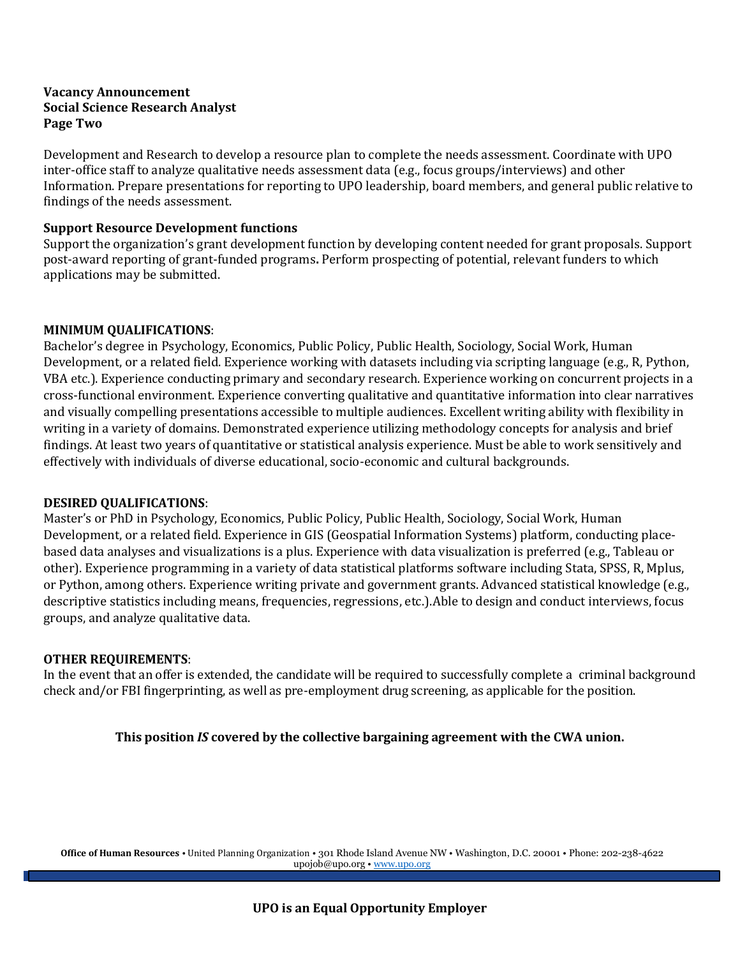#### **Vacancy Announcement Social Science Research Analyst Page Two**

Development and Research to develop a resource plan to complete the needs assessment. Coordinate with UPO inter-office staff to analyze qualitative needs assessment data (e.g., focus groups/interviews) and other Information. Prepare presentations for reporting to UPO leadership, board members, and general public relative to findings of the needs assessment.

#### **Support Resource Development functions**

Support the organization's grant development function by developing content needed for grant proposals. Support post-award reporting of grant-funded programs**.** Perform prospecting of potential, relevant funders to which applications may be submitted.

#### **MINIMUM QUALIFICATIONS**:

Bachelor's degree in Psychology, Economics, Public Policy, Public Health, Sociology, Social Work, Human Development, or a related field. Experience working with datasets including via scripting language (e.g., R, Python, VBA etc.). Experience conducting primary and secondary research. Experience working on concurrent projects in a cross-functional environment. Experience converting qualitative and quantitative information into clear narratives and visually compelling presentations accessible to multiple audiences. Excellent writing ability with flexibility in writing in a variety of domains. Demonstrated experience utilizing methodology concepts for analysis and brief findings. At least two years of quantitative or statistical analysis experience. Must be able to work sensitively and effectively with individuals of diverse educational, socio-economic and cultural backgrounds.

#### **DESIRED QUALIFICATIONS**:

Master's or PhD in Psychology, Economics, Public Policy, Public Health, Sociology, Social Work, Human Development, or a related field. Experience in GIS (Geospatial Information Systems) platform, conducting placebased data analyses and visualizations is a plus. Experience with data visualization is preferred (e.g., Tableau or other). Experience programming in a variety of data statistical platforms software including Stata, SPSS, R, Mplus, or Python, among others. Experience writing private and government grants. Advanced statistical knowledge (e.g., descriptive statistics including means, frequencies, regressions, etc.).Able to design and conduct interviews, focus groups, and analyze qualitative data.

# **OTHER REQUIREMENTS**:

In the event that an offer is extended, the candidate will be required to successfully complete a criminal background check and/or FBI fingerprinting, as well as pre-employment drug screening, as applicable for the position.

# **This position** *IS* **covered by the collective bargaining agreement with the CWA union.**

**Office of Human Resources** • United Planning Organization • 301 Rhode Island Avenue NW • Washington, D.C. 20001 • Phone: 202-238-4622 upojob@upo.org • [www.upo.org](http://www.upo.org/)